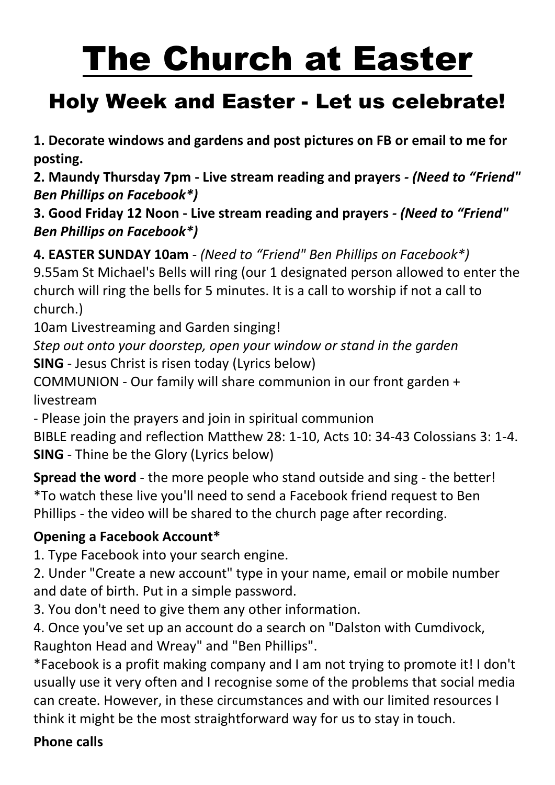# The Church at Easter

## Holy Week and Easter - Let us celebrate!

**1. Decorate windows and gardens and post pictures on FB or email to me for posting.**

**2. Maundy Thursday 7pm - Live stream reading and prayers** *- (Need to "Friend" Ben Phillips on Facebook\*)*

**3. Good Friday 12 Noon - Live stream reading and prayers** *- (Need to "Friend" Ben Phillips on Facebook\*)*

**4. EASTER SUNDAY 10am** *- (Need to "Friend" Ben Phillips on Facebook\*)*

9.55am St Michael's Bells will ring (our 1 designated person allowed to enter the church will ring the bells for 5 minutes. It is a call to worship if not a call to church.)

10am Livestreaming and Garden singing!

*Step out onto your doorstep, open your window or stand in the garden* **SING** - Jesus Christ is risen today (Lyrics below)

COMMUNION - Our family will share communion in our front garden + livestream

- Please join the prayers and join in spiritual communion

BIBLE reading and reflection Matthew 28: 1-10, Acts 10: 34-43 Colossians 3: 1-4. **SING** - Thine be the Glory (Lyrics below)

**Spread the word** - the more people who stand outside and sing - the better! \*To watch these live you'll need to send a Facebook friend request to Ben Phillips - the video will be shared to the church page after recording.

#### **Opening a Facebook Account\***

1. Type Facebook into your search engine.

2. Under "Create a new account" type in your name, email or mobile number and date of birth. Put in a simple password.

3. You don't need to give them any other information.

4. Once you've set up an account do a search on "Dalston with Cumdivock, Raughton Head and Wreay" and "Ben Phillips".

\*Facebook is a profit making company and I am not trying to promote it! I don't usually use it very often and I recognise some of the problems that social media can create. However, in these circumstances and with our limited resources I think it might be the most straightforward way for us to stay in touch.

#### **Phone calls**